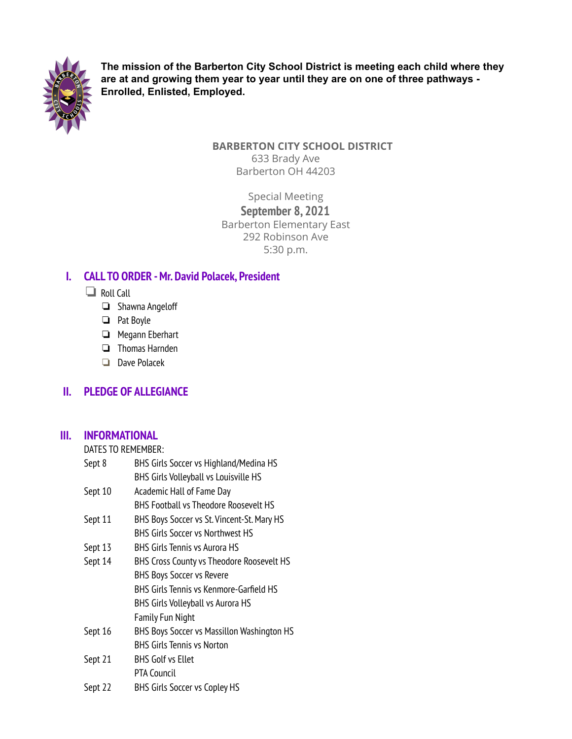

**The mission of the Barberton City School District is meeting each child where they are at and growing them year to year until they are on one of three pathways - Enrolled, Enlisted, Employed.**

### **BARBERTON CITY SCHOOL DISTRICT** 633 Brady Ave Barberton OH 44203

Special Meeting **September 8, 2021** Barberton Elementary East 292 Robinson Ave 5:30 p.m.

# **I. CALL TO ORDER -Mr. David Polacek, President**

- ❏ Roll Call
	- ❏ Shawna Angeloff
	- ❏ Pat Boyle
	- ❏ Megann Eberhart
	- ❏ Thomas Harnden
	- ❏ Dave Polacek

# **II. PLEDGE OF ALLEGIANCE**

## **III. INFORMATIONAL**

DATES TO REMEMBER:

| Sept 8  | BHS Girls Soccer vs Highland/Medina HS       |
|---------|----------------------------------------------|
|         | <b>BHS Girls Volleyball vs Louisville HS</b> |
| Sept 10 | Academic Hall of Fame Day                    |
|         | <b>BHS Football vs Theodore Roosevelt HS</b> |
| Sept 11 | BHS Boys Soccer vs St. Vincent-St. Mary HS   |
|         | <b>BHS Girls Soccer vs Northwest HS</b>      |
| Sept 13 | BHS Girls Tennis vs Aurora HS                |
| Sept 14 | BHS Cross County vs Theodore Roosevelt HS    |
|         | <b>BHS Boys Soccer vs Revere</b>             |
|         | BHS Girls Tennis vs Kenmore-Garfield HS      |
|         | BHS Girls Volleyball vs Aurora HS            |
|         | <b>Family Fun Night</b>                      |
| Sept 16 | BHS Boys Soccer vs Massillon Washington HS   |
|         | <b>BHS Girls Tennis vs Norton</b>            |
| Sept 21 | <b>BHS Golf vs Ellet</b>                     |
|         | <b>PTA Council</b>                           |
| Sept 22 | <b>BHS Girls Soccer vs Copley HS</b>         |
|         |                                              |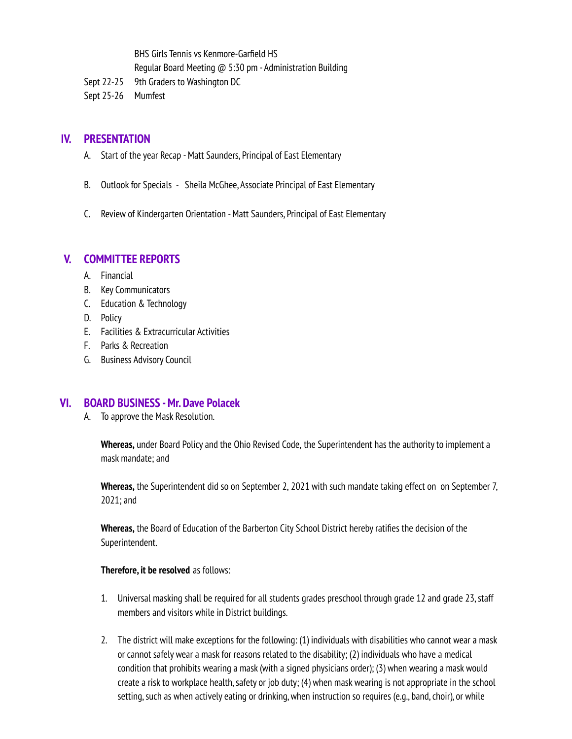BHS Girls Tennis vs Kenmore-Garfield HS Regular Board Meeting @ 5:30 pm - Administration Building Sept 22-25 9th Graders to Washington DC

Sept 25-26 Mumfest

### **IV. PRESENTATION**

- A. Start of the year Recap -Matt Saunders, Principal of East Elementary
- B. Outlook for Specials Sheila McGhee, Associate Principal of East Elementary
- C. Review of Kindergarten Orientation -Matt Saunders, Principal of East Elementary

#### **V. COMMITTEE REPORTS**

- A. Financial
- B. Key Communicators
- C. Education & Technology
- D. Policy
- E. Facilities & Extracurricular Activities
- F. Parks & Recreation
- G. Business Advisory Council

#### **VI. BOARD BUSINESS -Mr. Dave Polacek**

A. To approve the Mask Resolution.

**Whereas,** under Board Policy and the Ohio Revised Code, the Superintendent has the authority to implement a mask mandate; and

**Whereas,** the Superintendent did so on September 2, 2021 with such mandate taking effect on on September 7, 2021; and

Whereas, the Board of Education of the Barberton City School District hereby ratifies the decision of the Superintendent.

#### **Therefore, it be resolved** as follows:

- 1. Universal masking shall be required for all students grades preschool through grade 12 and grade 23, staff members and visitors while in District buildings.
- 2. The district will make exceptions for the following: (1) individuals with disabilities who cannot wear a mask or cannot safely wear a mask for reasons related to the disability; (2) individuals who have a medical condition that prohibits wearing a mask(with a signed physicians order); (3) when wearing a mask would create a risk to workplace health, safety or job duty; (4) when mask wearing is not appropriate in the school setting, such as when actively eating or drinking, when instruction so requires (e.g., band, choir), or while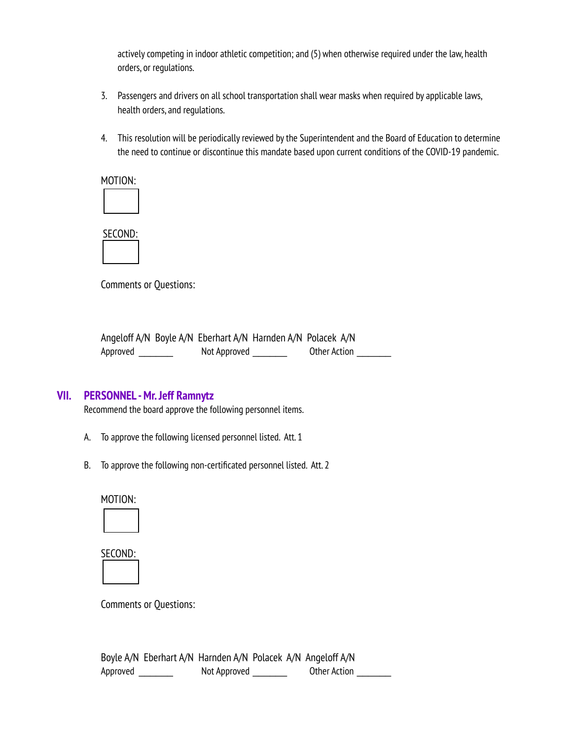actively competing in indoor athletic competition; and (5) when otherwise required under the law, health orders, or regulations.

- 3. Passengers and drivers on all school transportation shall wear masks when required by applicable laws, health orders, and regulations.
- 4. This resolution will be periodically reviewed by the Superintendent and the Board of Education to determine the need to continue or discontinue this mandate based upon current conditions of the COVID-19 pandemic.

MOTION:

SECOND:

Comments or Questions:

|          |              | Angeloff A/N Boyle A/N Eberhart A/N Harnden A/N Polacek A/N |  |
|----------|--------------|-------------------------------------------------------------|--|
| Approved | Not Approved | Other Action                                                |  |

## **VII. PERSONNEL -Mr.Jeff Ramnytz**

Recommend the board approve the following personnel items.

- A. To approve the following licensed personnel listed. Att. 1
- B. To approve the following non-certificated personnel listed. Att. 2





Comments or Questions:

Boyle A/N Eberhart A/N Harnden A/N Polacek A/N Angeloff A/N Approved \_\_\_\_\_\_\_\_\_ Not Approved \_\_\_\_\_\_\_\_ Other Action \_\_\_\_\_\_\_